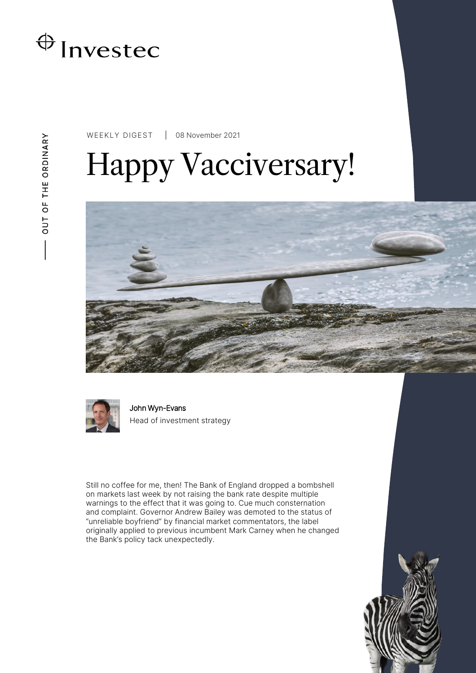

WEEKLY DIGEST 08 November 2021

# Happy Vacciversary!





John Wyn-Evans Head of investment strategy

Still no coffee for me, then! The Bank of England dropped a bombshell on markets last week by not raising the bank rate despite multiple warnings to the effect that it was going to. Cue much consternation and complaint. Governor Andrew Bailey was demoted to the status of "unreliable boyfriend" by financial market commentators, the label originally applied to previous incumbent Mark Carney when he changed the Bank's policy tack unexpectedly.

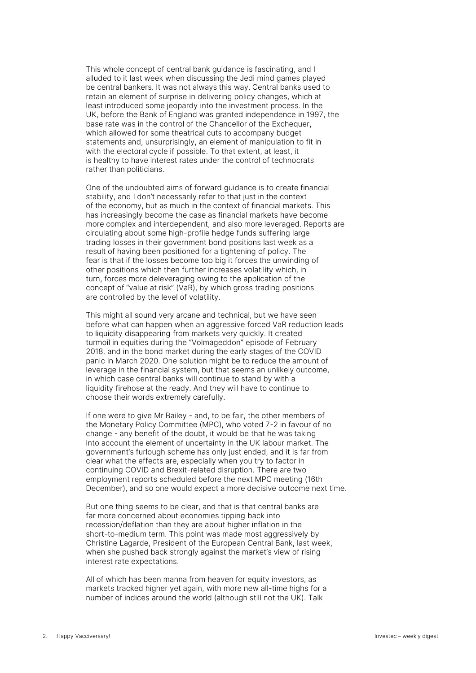This whole concept of central bank guidance is fascinating, and I alluded to it last week when discussing the Jedi mind games played be central bankers. It was not always this way. Central banks used to retain an element of surprise in delivering policy changes, which at least introduced some jeopardy into the investment process. In the UK, before the Bank of England was granted independence in 1997, the base rate was in the control of the Chancellor of the Exchequer, which allowed for some theatrical cuts to accompany budget statements and, unsurprisingly, an element of manipulation to fit in with the electoral cycle if possible. To that extent, at least, it is healthy to have interest rates under the control of technocrats rather than politicians.

One of the undoubted aims of forward guidance is to create financial stability, and I don't necessarily refer to that just in the context of the economy, but as much in the context of financial markets. This has increasingly become the case as financial markets have become more complex and interdependent, and also more leveraged. Reports are circulating about some high-profile hedge funds suffering large trading losses in their government bond positions last week as a result of having been positioned for a tightening of policy. The fear is that if the losses become too big it forces the unwinding of other positions which then further increases volatility which, in turn, forces more deleveraging owing to the application of the concept of "value at risk" (VaR), by which gross trading positions are controlled by the level of volatility.

This might all sound very arcane and technical, but we have seen before what can happen when an aggressive forced VaR reduction leads to liquidity disappearing from markets very quickly. It created turmoil in equities during the "Volmageddon" episode of February 2018, and in the bond market during the early stages of the COVID panic in March 2020. One solution might be to reduce the amount of leverage in the financial system, but that seems an unlikely outcome, in which case central banks will continue to stand by with a liquidity firehose at the ready. And they will have to continue to choose their words extremely carefully.

If one were to give Mr Bailey - and, to be fair, the other members of the Monetary Policy Committee (MPC), who voted 7-2 in favour of no change - any benefit of the doubt, it would be that he was taking into account the element of uncertainty in the UK labour market. The government's furlough scheme has only just ended, and it is far from clear what the effects are, especially when you try to factor in continuing COVID and Brexit-related disruption. There are two employment reports scheduled before the next MPC meeting (16th December), and so one would expect a more decisive outcome next time.

But one thing seems to be clear, and that is that central banks are far more concerned about economies tipping back into recession/deflation than they are about higher inflation in the short-to-medium term. This point was made most aggressively by Christine Lagarde, President of the European Central Bank, last week, when she pushed back strongly against the market's view of rising interest rate expectations.

All of which has been manna from heaven for equity investors, as markets tracked higher yet again, with more new all-time highs for a number of indices around the world (although still not the UK). Talk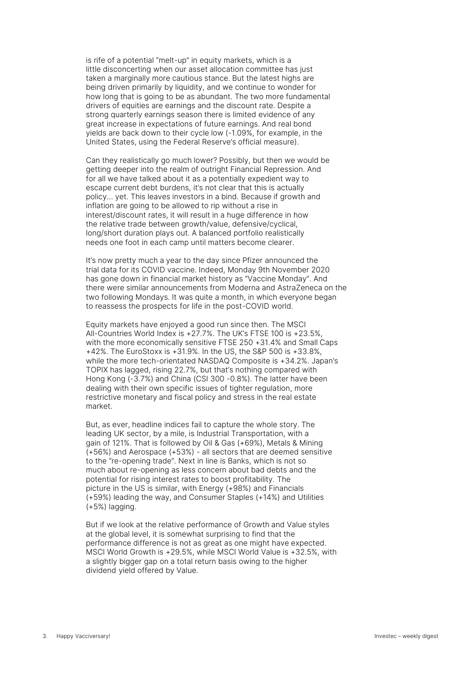is rife of a potential "melt-up" in equity markets, which is a little disconcerting when our asset allocation committee has just taken a marginally more cautious stance. But the latest highs are being driven primarily by liquidity, and we continue to wonder for how long that is going to be as abundant. The two more fundamental drivers of equities are earnings and the discount rate. Despite a strong quarterly earnings season there is limited evidence of any great increase in expectations of future earnings. And real bond yields are back down to their cycle low (-1.09%, for example, in the United States, using the Federal Reserve's official measure).

Can they realistically go much lower? Possibly, but then we would be getting deeper into the realm of outright Financial Repression. And for all we have talked about it as a potentially expedient way to escape current debt burdens, it's not clear that this is actually policy… yet. This leaves investors in a bind. Because if growth and inflation are going to be allowed to rip without a rise in interest/discount rates, it will result in a huge difference in how the relative trade between growth/value, defensive/cyclical, long/short duration plays out. A balanced portfolio realistically needs one foot in each camp until matters become clearer.

It's now pretty much a year to the day since Pfizer announced the trial data for its COVID vaccine. Indeed, Monday 9th November 2020 has gone down in financial market history as "Vaccine Monday". And there were similar announcements from Moderna and AstraZeneca on the two following Mondays. It was quite a month, in which everyone began to reassess the prospects for life in the post-COVID world.

Equity markets have enjoyed a good run since then. The MSCI All-Countries World Index is +27.7%. The UK's FTSE 100 is +23.5%, with the more economically sensitive FTSE 250 +31.4% and Small Caps +42%. The EuroStoxx is +31.9%. In the US, the S&P 500 is +33.8%, while the more tech-orientated NASDAQ Composite is +34.2%. Japan's TOPIX has lagged, rising 22.7%, but that's nothing compared with Hong Kong (-3.7%) and China (CSI 300 -0.8%). The latter have been dealing with their own specific issues of tighter regulation, more restrictive monetary and fiscal policy and stress in the real estate market.

But, as ever, headline indices fail to capture the whole story. The leading UK sector, by a mile, is Industrial Transportation, with a gain of 121%. That is followed by Oil & Gas (+69%), Metals & Mining  $(+56%)$  and Aerospace  $(+53%)$  - all sectors that are deemed sensitive to the "re-opening trade". Next in line is Banks, which is not so much about re-opening as less concern about bad debts and the potential for rising interest rates to boost profitability. The picture in the US is similar, with Energy (+98%) and Financials (+59%) leading the way, and Consumer Staples (+14%) and Utilities (+5%) lagging.

But if we look at the relative performance of Growth and Value styles at the global level, it is somewhat surprising to find that the performance difference is not as great as one might have expected. MSCI World Growth is +29.5%, while MSCI World Value is +32.5%, with a slightly bigger gap on a total return basis owing to the higher dividend yield offered by Value.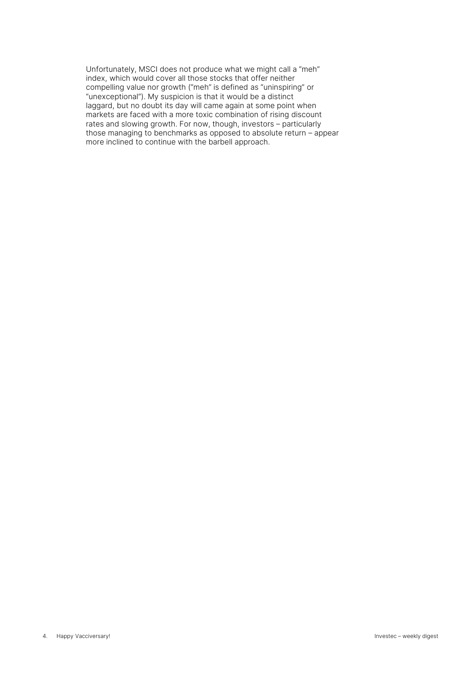Unfortunately, MSCI does not produce what we might call a "meh" index, which would cover all those stocks that offer neither compelling value nor growth ("meh" is defined as "uninspiring" or "unexceptional"). My suspicion is that it would be a distinct laggard, but no doubt its day will came again at some point when markets are faced with a more toxic combination of rising discount rates and slowing growth. For now, though, investors – particularly those managing to benchmarks as opposed to absolute return – appear more inclined to continue with the barbell approach.